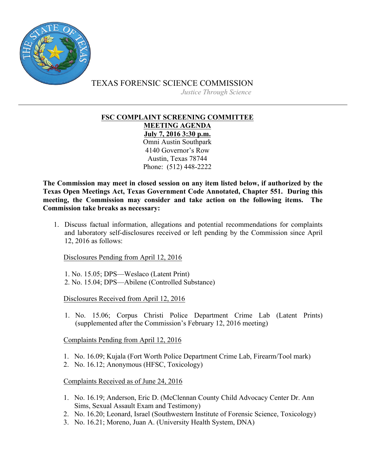

TEXAS FORENSIC SCIENCE COMMISSION

*Justice Through Science*

## **FSC COMPLAINT SCREENING COMMITTEE MEETING AGENDA July 7, 2016 3:30 p.m.** Omni Austin Southpark 4140 Governor's Row Austin, Texas 78744 Phone: (512) 448-2222

**The Commission may meet in closed session on any item listed below, if authorized by the Texas Open Meetings Act, Texas Government Code Annotated, Chapter 551. During this meeting, the Commission may consider and take action on the following items. The Commission take breaks as necessary:**

1. Discuss factual information, allegations and potential recommendations for complaints and laboratory self-disclosures received or left pending by the Commission since April 12, 2016 as follows:

Disclosures Pending from April 12, 2016

1. No. 15.05; DPS—Weslaco (Latent Print) 2. No. 15.04; DPS—Abilene (Controlled Substance)

Disclosures Received from April 12, 2016

1. No. 15.06; Corpus Christi Police Department Crime Lab (Latent Prints) (supplemented after the Commission's February 12, 2016 meeting)

Complaints Pending from April 12, 2016

- 1. No. 16.09; Kujala (Fort Worth Police Department Crime Lab, Firearm/Tool mark)
- 2. No. 16.12; Anonymous (HFSC, Toxicology)

## Complaints Received as of June 24, 2016

- 1. No. 16.19; Anderson, Eric D. (McClennan County Child Advocacy Center Dr. Ann Sims, Sexual Assault Exam and Testimony)
- 2. No. 16.20; Leonard, Israel (Southwestern Institute of Forensic Science, Toxicology)
- 3. No. 16.21; Moreno, Juan A. (University Health System, DNA)